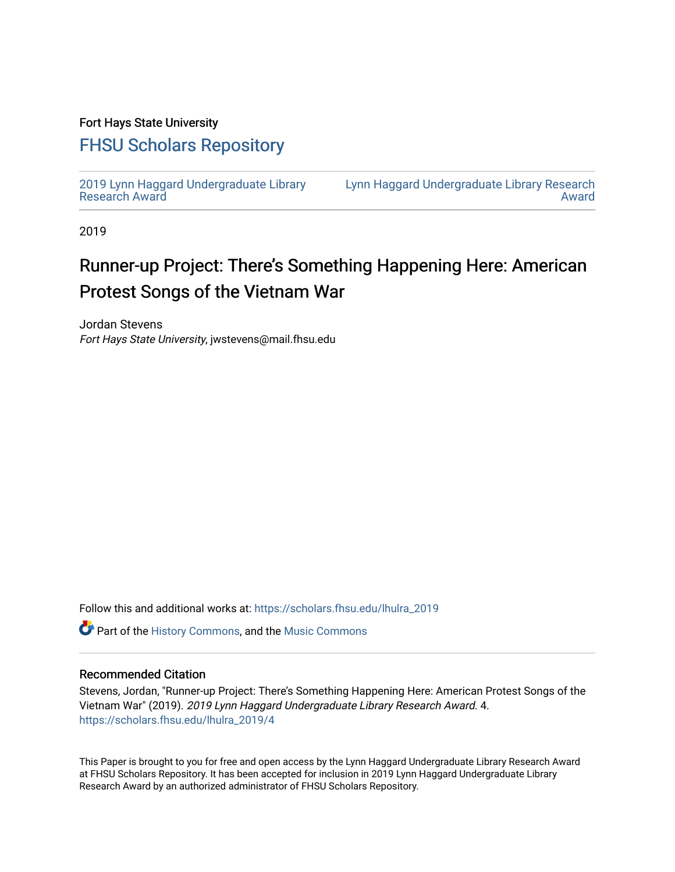## Fort Hays State University

# [FHSU Scholars Repository](https://scholars.fhsu.edu/)

[2019 Lynn Haggard Undergraduate Library](https://scholars.fhsu.edu/lhulra_2019)  [Research Award](https://scholars.fhsu.edu/lhulra_2019)

[Lynn Haggard Undergraduate Library Research](https://scholars.fhsu.edu/lhulra)  [Award](https://scholars.fhsu.edu/lhulra) 

2019

# Runner-up Project: There's Something Happening Here: American Protest Songs of the Vietnam War

Jordan Stevens Fort Hays State University, jwstevens@mail.fhsu.edu

Follow this and additional works at: [https://scholars.fhsu.edu/lhulra\\_2019](https://scholars.fhsu.edu/lhulra_2019?utm_source=scholars.fhsu.edu%2Flhulra_2019%2F4&utm_medium=PDF&utm_campaign=PDFCoverPages)

**C** Part of the [History Commons,](http://network.bepress.com/hgg/discipline/489?utm_source=scholars.fhsu.edu%2Flhulra_2019%2F4&utm_medium=PDF&utm_campaign=PDFCoverPages) and the [Music Commons](http://network.bepress.com/hgg/discipline/518?utm_source=scholars.fhsu.edu%2Flhulra_2019%2F4&utm_medium=PDF&utm_campaign=PDFCoverPages)

### Recommended Citation

Stevens, Jordan, "Runner-up Project: There's Something Happening Here: American Protest Songs of the Vietnam War" (2019). 2019 Lynn Haggard Undergraduate Library Research Award. 4. [https://scholars.fhsu.edu/lhulra\\_2019/4](https://scholars.fhsu.edu/lhulra_2019/4?utm_source=scholars.fhsu.edu%2Flhulra_2019%2F4&utm_medium=PDF&utm_campaign=PDFCoverPages)

This Paper is brought to you for free and open access by the Lynn Haggard Undergraduate Library Research Award at FHSU Scholars Repository. It has been accepted for inclusion in 2019 Lynn Haggard Undergraduate Library Research Award by an authorized administrator of FHSU Scholars Repository.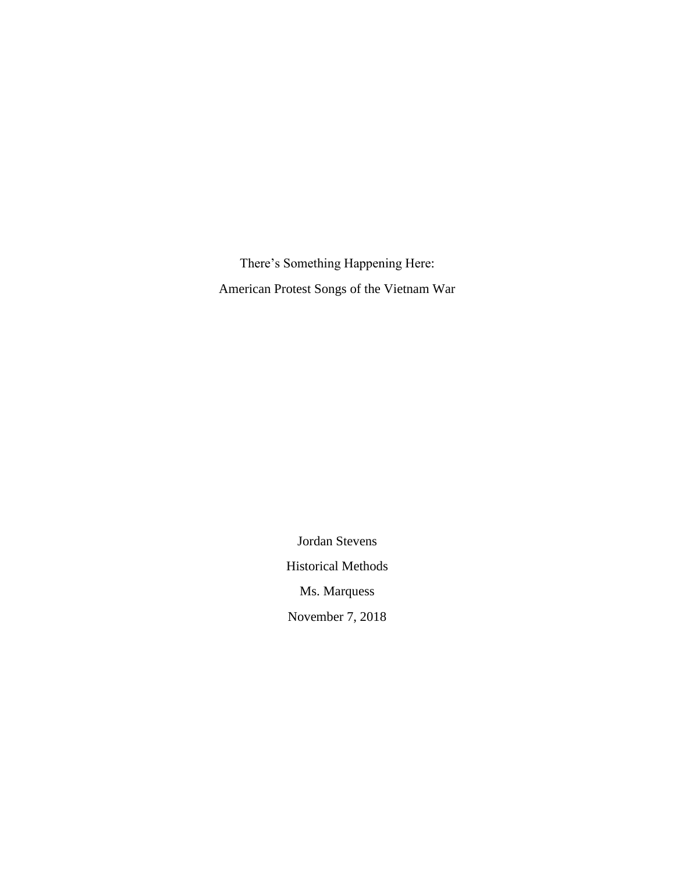There's Something Happening Here: American Protest Songs of the Vietnam War

> Jordan Stevens Historical Methods Ms. Marquess November 7, 2018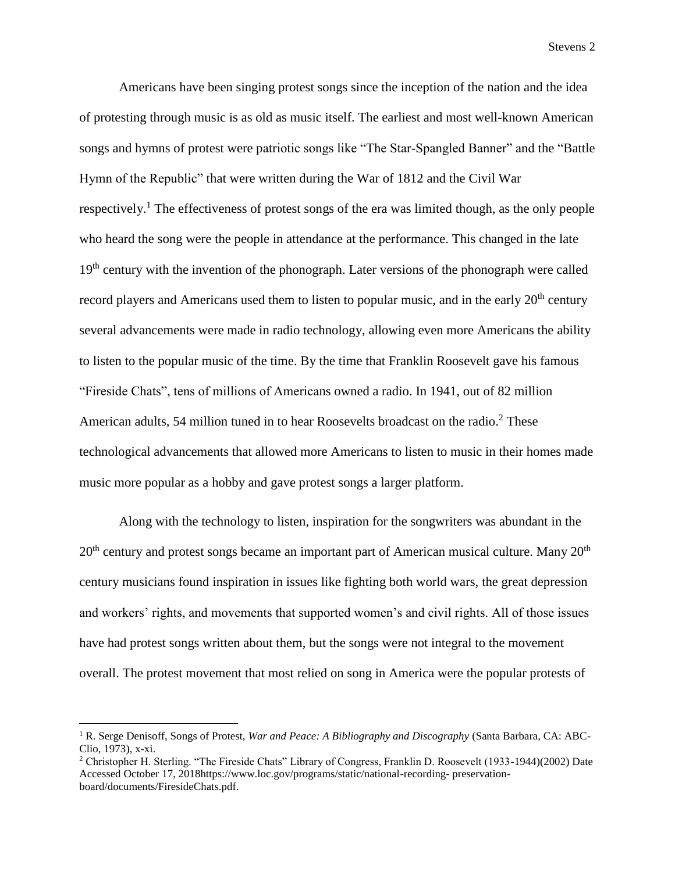Americans have been singing protest songs since the inception of the nation and the idea of protesting through music is as old as music itself. The earliest and most well-known American songs and hymns of protest were patriotic songs like "The Star-Spangled Banner" and the "Battle Hymn of the Republic" that were written during the War of 1812 and the Civil War respectively.<sup>1</sup> The effectiveness of protest songs of the era was limited though, as the only people who heard the song were the people in attendance at the performance. This changed in the late  $19<sup>th</sup>$  century with the invention of the phonograph. Later versions of the phonograph were called record players and Americans used them to listen to popular music, and in the early 20<sup>th</sup> century several advancements were made in radio technology, allowing even more Americans the ability to listen to the popular music of the time. By the time that Franklin Roosevelt gave his famous "Fireside Chats", tens of millions of Americans owned a radio. In 1941, out of 82 million American adults, 54 million tuned in to hear Roosevelts broadcast on the radio.<sup>2</sup> These technological advancements that allowed more Americans to listen to music in their homes made music more popular as a hobby and gave protest songs a larger platform.

Along with the technology to listen, inspiration for the songwriters was abundant in the  $20<sup>th</sup>$  century and protest songs became an important part of American musical culture. Many  $20<sup>th</sup>$ century musicians found inspiration in issues like fighting both world wars, the great depression and workers' rights, and movements that supported women's and civil rights. All of those issues have had protest songs written about them, but the songs were not integral to the movement overall. The protest movement that most relied on song in America were the popular protests of

l

<sup>1</sup> R. Serge Denisoff, Songs of Protest, *War and Peace: A Bibliography and Discography* (Santa Barbara, CA: ABC-Clio, 1973), x-xi.

<sup>2</sup> Christopher H. Sterling. "The Fireside Chats" Library of Congress, Franklin D. Roosevelt (1933-1944)(2002) Date Accessed October 17, 2018https://www.loc.gov/programs/static/national-recording- preservationboard/documents/FiresideChats.pdf.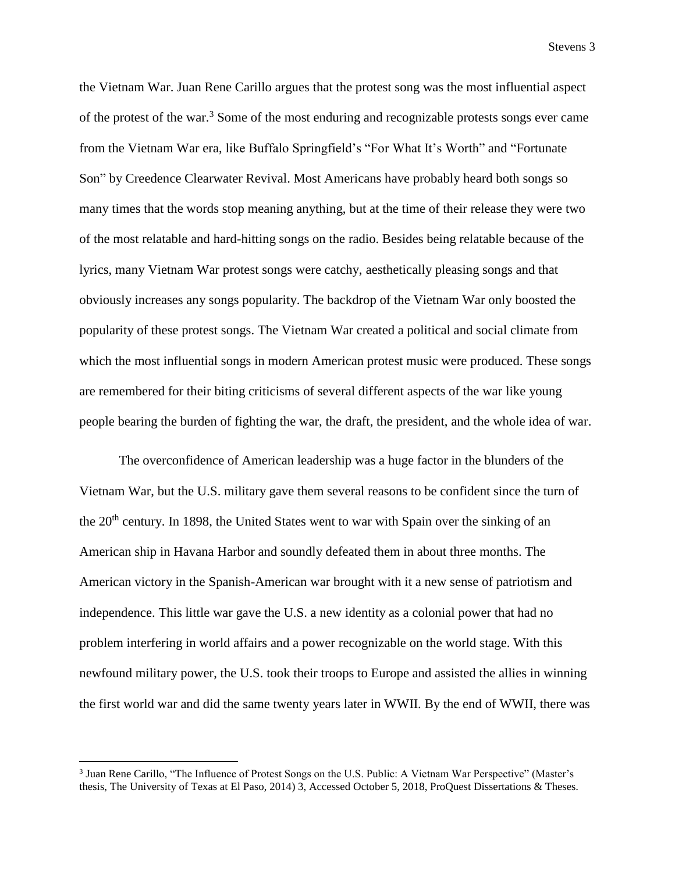the Vietnam War. Juan Rene Carillo argues that the protest song was the most influential aspect of the protest of the war.<sup>3</sup> Some of the most enduring and recognizable protests songs ever came from the Vietnam War era, like Buffalo Springfield's "For What It's Worth" and "Fortunate Son" by Creedence Clearwater Revival. Most Americans have probably heard both songs so many times that the words stop meaning anything, but at the time of their release they were two of the most relatable and hard-hitting songs on the radio. Besides being relatable because of the lyrics, many Vietnam War protest songs were catchy, aesthetically pleasing songs and that obviously increases any songs popularity. The backdrop of the Vietnam War only boosted the popularity of these protest songs. The Vietnam War created a political and social climate from which the most influential songs in modern American protest music were produced. These songs are remembered for their biting criticisms of several different aspects of the war like young people bearing the burden of fighting the war, the draft, the president, and the whole idea of war.

The overconfidence of American leadership was a huge factor in the blunders of the Vietnam War, but the U.S. military gave them several reasons to be confident since the turn of the 20<sup>th</sup> century. In 1898, the United States went to war with Spain over the sinking of an American ship in Havana Harbor and soundly defeated them in about three months. The American victory in the Spanish-American war brought with it a new sense of patriotism and independence. This little war gave the U.S. a new identity as a colonial power that had no problem interfering in world affairs and a power recognizable on the world stage. With this newfound military power, the U.S. took their troops to Europe and assisted the allies in winning the first world war and did the same twenty years later in WWII. By the end of WWII, there was

<sup>3</sup> Juan Rene Carillo, "The Influence of Protest Songs on the U.S. Public: A Vietnam War Perspective" (Master's thesis, The University of Texas at El Paso, 2014) 3, Accessed October 5, 2018, ProQuest Dissertations & Theses.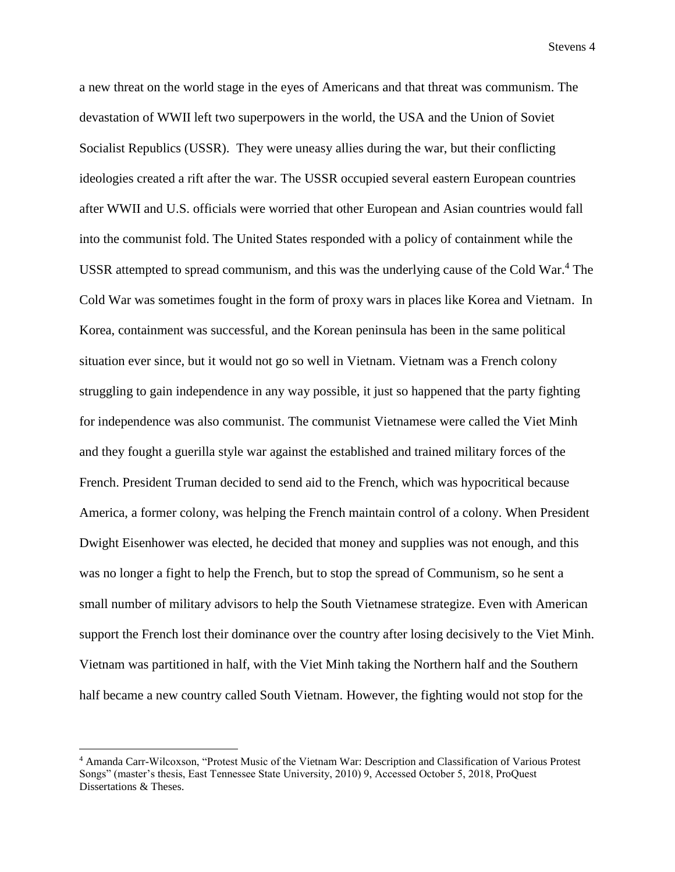a new threat on the world stage in the eyes of Americans and that threat was communism. The devastation of WWII left two superpowers in the world, the USA and the Union of Soviet Socialist Republics (USSR). They were uneasy allies during the war, but their conflicting ideologies created a rift after the war. The USSR occupied several eastern European countries after WWII and U.S. officials were worried that other European and Asian countries would fall into the communist fold. The United States responded with a policy of containment while the USSR attempted to spread communism, and this was the underlying cause of the Cold War. <sup>4</sup> The Cold War was sometimes fought in the form of proxy wars in places like Korea and Vietnam. In Korea, containment was successful, and the Korean peninsula has been in the same political situation ever since, but it would not go so well in Vietnam. Vietnam was a French colony struggling to gain independence in any way possible, it just so happened that the party fighting for independence was also communist. The communist Vietnamese were called the Viet Minh and they fought a guerilla style war against the established and trained military forces of the French. President Truman decided to send aid to the French, which was hypocritical because America, a former colony, was helping the French maintain control of a colony. When President Dwight Eisenhower was elected, he decided that money and supplies was not enough, and this was no longer a fight to help the French, but to stop the spread of Communism, so he sent a small number of military advisors to help the South Vietnamese strategize. Even with American support the French lost their dominance over the country after losing decisively to the Viet Minh. Vietnam was partitioned in half, with the Viet Minh taking the Northern half and the Southern half became a new country called South Vietnam. However, the fighting would not stop for the

<sup>4</sup> Amanda Carr-Wilcoxson, "Protest Music of the Vietnam War: Description and Classification of Various Protest Songs" (master's thesis, East Tennessee State University, 2010) 9, Accessed October 5, 2018, ProQuest Dissertations & Theses.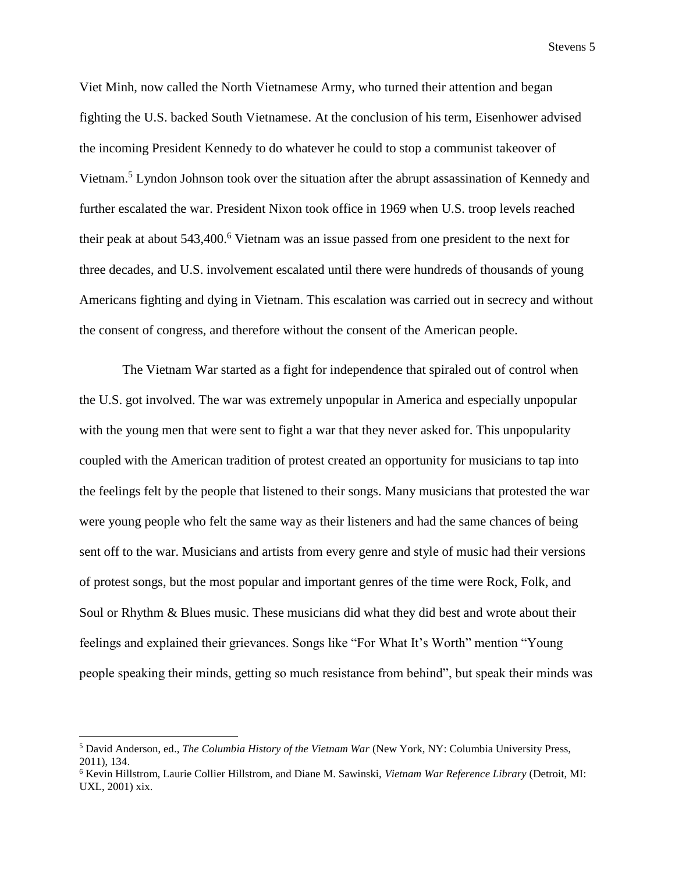Viet Minh, now called the North Vietnamese Army, who turned their attention and began fighting the U.S. backed South Vietnamese. At the conclusion of his term, Eisenhower advised the incoming President Kennedy to do whatever he could to stop a communist takeover of Vietnam. <sup>5</sup> Lyndon Johnson took over the situation after the abrupt assassination of Kennedy and further escalated the war. President Nixon took office in 1969 when U.S. troop levels reached their peak at about 543,400. <sup>6</sup> Vietnam was an issue passed from one president to the next for three decades, and U.S. involvement escalated until there were hundreds of thousands of young Americans fighting and dying in Vietnam. This escalation was carried out in secrecy and without the consent of congress, and therefore without the consent of the American people.

The Vietnam War started as a fight for independence that spiraled out of control when the U.S. got involved. The war was extremely unpopular in America and especially unpopular with the young men that were sent to fight a war that they never asked for. This unpopularity coupled with the American tradition of protest created an opportunity for musicians to tap into the feelings felt by the people that listened to their songs. Many musicians that protested the war were young people who felt the same way as their listeners and had the same chances of being sent off to the war. Musicians and artists from every genre and style of music had their versions of protest songs, but the most popular and important genres of the time were Rock, Folk, and Soul or Rhythm & Blues music. These musicians did what they did best and wrote about their feelings and explained their grievances. Songs like "For What It's Worth" mention "Young people speaking their minds, getting so much resistance from behind", but speak their minds was

<sup>5</sup> David Anderson, ed., *The Columbia History of the Vietnam War* (New York, NY: Columbia University Press, 2011), 134.

<sup>6</sup> Kevin Hillstrom, Laurie Collier Hillstrom, and Diane M. Sawinski, *Vietnam War Reference Library* (Detroit, MI: UXL, 2001) xix.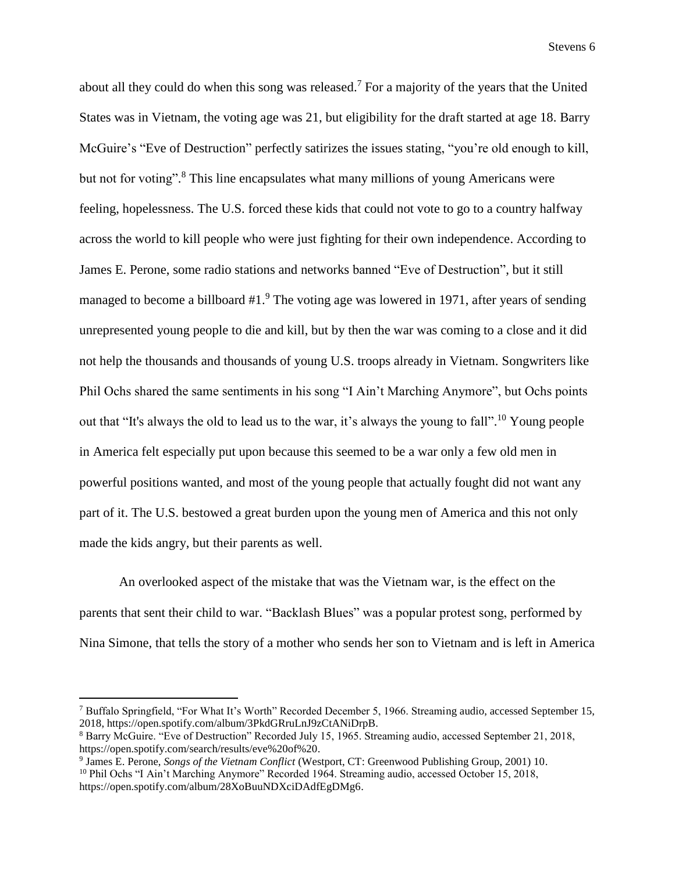about all they could do when this song was released.<sup>7</sup> For a majority of the years that the United States was in Vietnam, the voting age was 21, but eligibility for the draft started at age 18. Barry McGuire's "Eve of Destruction" perfectly satirizes the issues stating, "you're old enough to kill, but not for voting".<sup>8</sup> This line encapsulates what many millions of young Americans were feeling, hopelessness. The U.S. forced these kids that could not vote to go to a country halfway across the world to kill people who were just fighting for their own independence. According to James E. Perone, some radio stations and networks banned "Eve of Destruction", but it still managed to become a billboard #1.<sup>9</sup> The voting age was lowered in 1971, after years of sending unrepresented young people to die and kill, but by then the war was coming to a close and it did not help the thousands and thousands of young U.S. troops already in Vietnam. Songwriters like Phil Ochs shared the same sentiments in his song "I Ain't Marching Anymore", but Ochs points out that "It's always the old to lead us to the war, it's always the young to fall".<sup>10</sup> Young people in America felt especially put upon because this seemed to be a war only a few old men in powerful positions wanted, and most of the young people that actually fought did not want any part of it. The U.S. bestowed a great burden upon the young men of America and this not only made the kids angry, but their parents as well.

An overlooked aspect of the mistake that was the Vietnam war, is the effect on the parents that sent their child to war. "Backlash Blues" was a popular protest song, performed by Nina Simone, that tells the story of a mother who sends her son to Vietnam and is left in America

<sup>7</sup> Buffalo Springfield, "For What It's Worth" Recorded December 5, 1966. Streaming audio, accessed September 15, 2018, https://open.spotify.com/album/3PkdGRruLnJ9zCtANiDrpB.

<sup>8</sup> Barry McGuire. "Eve of Destruction" Recorded July 15, 1965. Streaming audio, accessed September 21, 2018, https://open.spotify.com/search/results/eve%20of%20.

<sup>9</sup> James E. Perone, *Songs of the Vietnam Conflict* (Westport, CT: Greenwood Publishing Group, 2001) 10. <sup>10</sup> Phil Ochs "I Ain't Marching Anymore" Recorded 1964. Streaming audio, accessed October 15, 2018,

https://open.spotify.com/album/28XoBuuNDXciDAdfEgDMg6.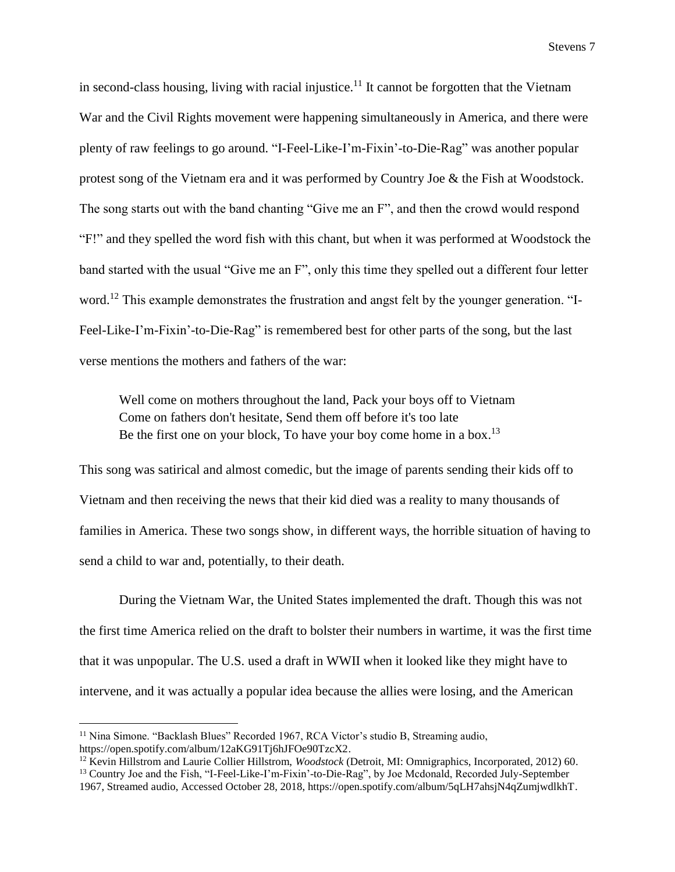in second-class housing, living with racial injustice.<sup>11</sup> It cannot be forgotten that the Vietnam War and the Civil Rights movement were happening simultaneously in America, and there were plenty of raw feelings to go around. "I-Feel-Like-I'm-Fixin'-to-Die-Rag" was another popular protest song of the Vietnam era and it was performed by Country Joe & the Fish at Woodstock. The song starts out with the band chanting "Give me an F", and then the crowd would respond "F!" and they spelled the word fish with this chant, but when it was performed at Woodstock the band started with the usual "Give me an F", only this time they spelled out a different four letter word.<sup>12</sup> This example demonstrates the frustration and angst felt by the younger generation. "I-Feel-Like-I'm-Fixin'-to-Die-Rag" is remembered best for other parts of the song, but the last verse mentions the mothers and fathers of the war:

Well come on mothers throughout the land, Pack your boys off to Vietnam Come on fathers don't hesitate, Send them off before it's too late Be the first one on your block, To have your boy come home in a box.<sup>13</sup>

This song was satirical and almost comedic, but the image of parents sending their kids off to Vietnam and then receiving the news that their kid died was a reality to many thousands of families in America. These two songs show, in different ways, the horrible situation of having to send a child to war and, potentially, to their death.

During the Vietnam War, the United States implemented the draft. Though this was not the first time America relied on the draft to bolster their numbers in wartime, it was the first time that it was unpopular. The U.S. used a draft in WWII when it looked like they might have to intervene, and it was actually a popular idea because the allies were losing, and the American

l

<sup>11</sup> Nina Simone. "Backlash Blues" Recorded 1967, RCA Victor's studio B, Streaming audio, https://open.spotify.com/album/12aKG91Tj6hJFOe90TzcX2.

<sup>12</sup> Kevin Hillstrom and Laurie Collier Hillstrom, *Woodstock* (Detroit, MI: Omnigraphics, Incorporated, 2012) 60.

<sup>&</sup>lt;sup>13</sup> Country Joe and the Fish, "I-Feel-Like-I'm-Fixin'-to-Die-Rag", by Joe Mcdonald, Recorded July-September 1967, Streamed audio, Accessed October 28, 2018, https://open.spotify.com/album/5qLH7ahsjN4qZumjwdlkhT.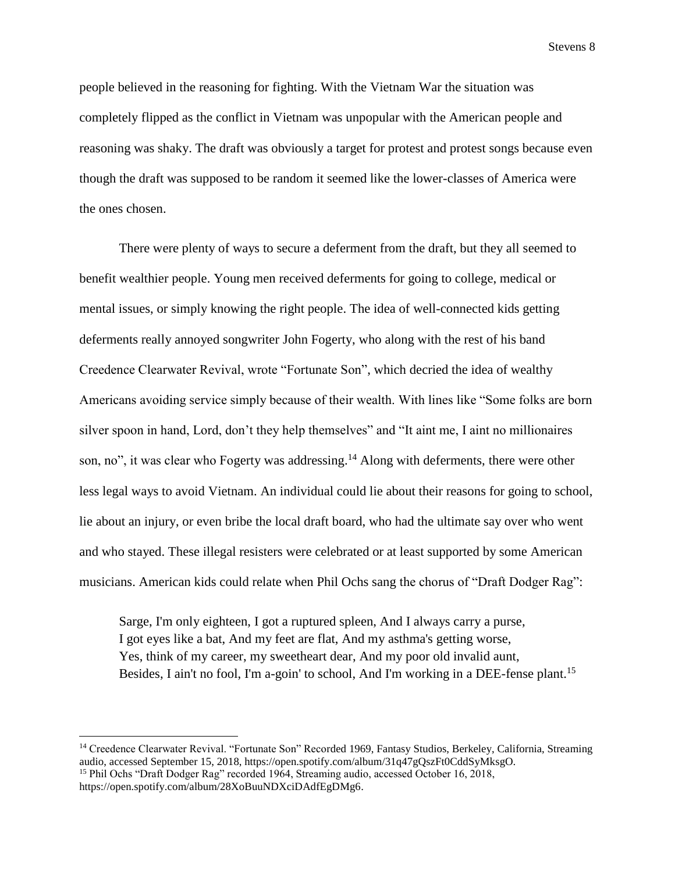people believed in the reasoning for fighting. With the Vietnam War the situation was completely flipped as the conflict in Vietnam was unpopular with the American people and reasoning was shaky. The draft was obviously a target for protest and protest songs because even though the draft was supposed to be random it seemed like the lower-classes of America were the ones chosen.

There were plenty of ways to secure a deferment from the draft, but they all seemed to benefit wealthier people. Young men received deferments for going to college, medical or mental issues, or simply knowing the right people. The idea of well-connected kids getting deferments really annoyed songwriter John Fogerty, who along with the rest of his band Creedence Clearwater Revival, wrote "Fortunate Son", which decried the idea of wealthy Americans avoiding service simply because of their wealth. With lines like "Some folks are born silver spoon in hand, Lord, don't they help themselves" and "It aint me, I aint no millionaires son, no", it was clear who Fogerty was addressing.<sup>14</sup> Along with deferments, there were other less legal ways to avoid Vietnam. An individual could lie about their reasons for going to school, lie about an injury, or even bribe the local draft board, who had the ultimate say over who went and who stayed. These illegal resisters were celebrated or at least supported by some American musicians. American kids could relate when Phil Ochs sang the chorus of "Draft Dodger Rag":

Sarge, I'm only eighteen, I got a ruptured spleen, And I always carry a purse, I got eyes like a bat, And my feet are flat, And my asthma's getting worse, Yes, think of my career, my sweetheart dear, And my poor old invalid aunt, Besides, I ain't no fool, I'm a-goin' to school, And I'm working in a DEE-fense plant.<sup>15</sup>

<sup>&</sup>lt;sup>14</sup> Creedence Clearwater Revival. "Fortunate Son" Recorded 1969, Fantasy Studios, Berkeley, California, Streaming audio, accessed September 15, 2018, https://open.spotify.com/album/31q47gQszFt0CddSyMksgO. <sup>15</sup> Phil Ochs "Draft Dodger Rag" recorded 1964, Streaming audio, accessed October 16, 2018, https://open.spotify.com/album/28XoBuuNDXciDAdfEgDMg6.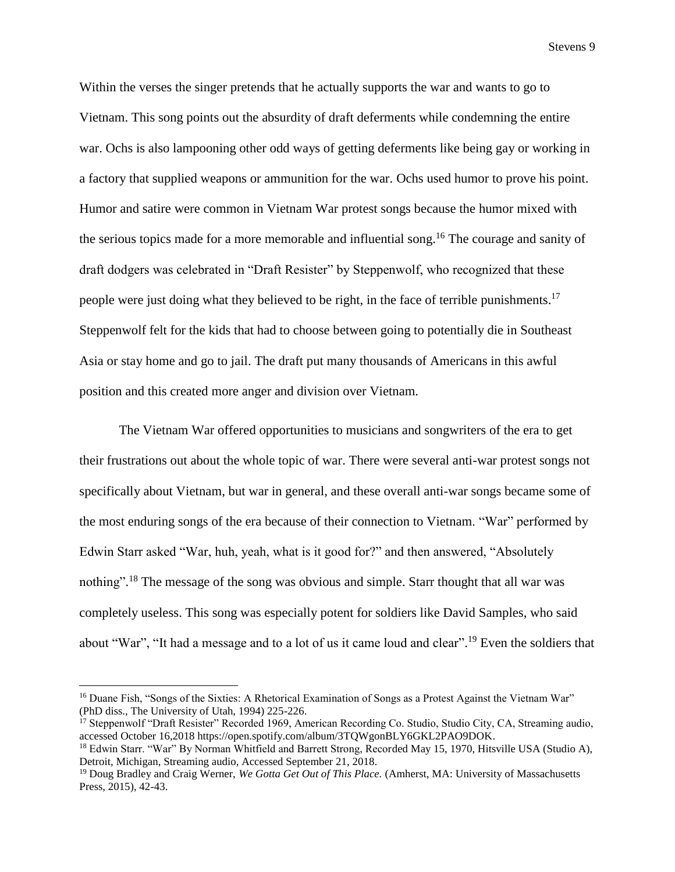Within the verses the singer pretends that he actually supports the war and wants to go to Vietnam. This song points out the absurdity of draft deferments while condemning the entire war. Ochs is also lampooning other odd ways of getting deferments like being gay or working in a factory that supplied weapons or ammunition for the war. Ochs used humor to prove his point. Humor and satire were common in Vietnam War protest songs because the humor mixed with the serious topics made for a more memorable and influential song. <sup>16</sup> The courage and sanity of draft dodgers was celebrated in "Draft Resister" by Steppenwolf, who recognized that these people were just doing what they believed to be right, in the face of terrible punishments.<sup>17</sup> Steppenwolf felt for the kids that had to choose between going to potentially die in Southeast Asia or stay home and go to jail. The draft put many thousands of Americans in this awful position and this created more anger and division over Vietnam.

The Vietnam War offered opportunities to musicians and songwriters of the era to get their frustrations out about the whole topic of war. There were several anti-war protest songs not specifically about Vietnam, but war in general, and these overall anti-war songs became some of the most enduring songs of the era because of their connection to Vietnam. "War" performed by Edwin Starr asked "War, huh, yeah, what is it good for?" and then answered, "Absolutely nothing".<sup>18</sup> The message of the song was obvious and simple. Starr thought that all war was completely useless. This song was especially potent for soldiers like David Samples, who said about "War", "It had a message and to a lot of us it came loud and clear".<sup>19</sup> Even the soldiers that

<sup>&</sup>lt;sup>16</sup> Duane Fish, "Songs of the Sixties: A Rhetorical Examination of Songs as a Protest Against the Vietnam War" (PhD diss., The University of Utah, 1994) 225-226.

<sup>&</sup>lt;sup>17</sup> Steppenwolf "Draft Resister" Recorded 1969, American Recording Co. Studio, Studio City, CA, Streaming audio, accessed October 16,2018 https://open.spotify.com/album/3TQWgonBLY6GKL2PAO9DOK.

<sup>&</sup>lt;sup>18</sup> Edwin Starr. "War" By Norman Whitfield and Barrett Strong, Recorded May 15, 1970, Hitsville USA (Studio A), Detroit, Michigan, Streaming audio, Accessed September 21, 2018.

<sup>&</sup>lt;sup>19</sup> Doug Bradley and Craig Werner, *We Gotta Get Out of This Place*. (Amherst, MA: University of Massachusetts Press, 2015), 42-43.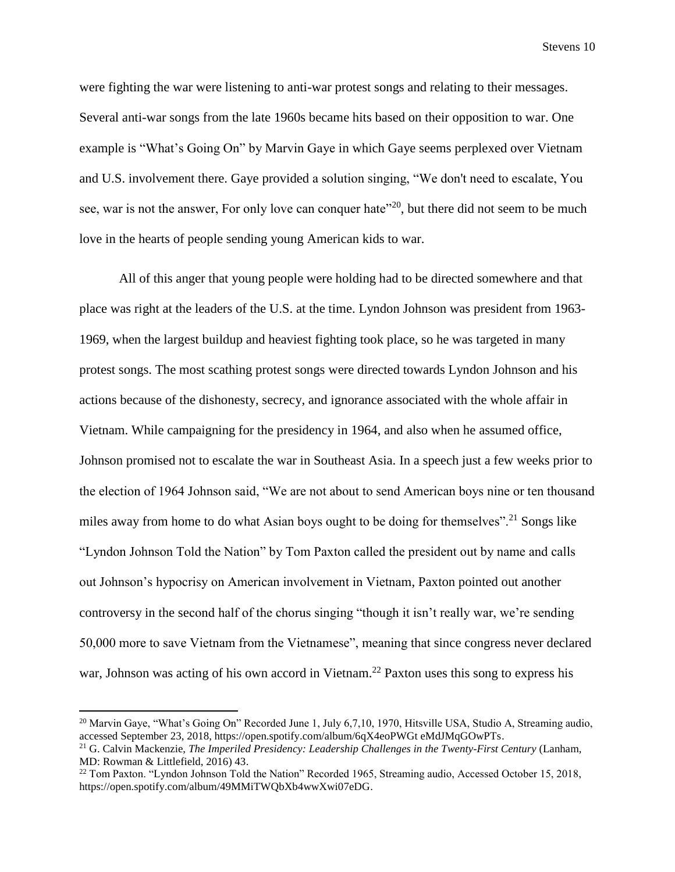were fighting the war were listening to anti-war protest songs and relating to their messages. Several anti-war songs from the late 1960s became hits based on their opposition to war. One example is "What's Going On" by Marvin Gaye in which Gaye seems perplexed over Vietnam and U.S. involvement there. Gaye provided a solution singing, "We don't need to escalate, You see, war is not the answer, For only love can conquer hate<sup>"20</sup>, but there did not seem to be much love in the hearts of people sending young American kids to war.

All of this anger that young people were holding had to be directed somewhere and that place was right at the leaders of the U.S. at the time. Lyndon Johnson was president from 1963- 1969, when the largest buildup and heaviest fighting took place, so he was targeted in many protest songs. The most scathing protest songs were directed towards Lyndon Johnson and his actions because of the dishonesty, secrecy, and ignorance associated with the whole affair in Vietnam. While campaigning for the presidency in 1964, and also when he assumed office, Johnson promised not to escalate the war in Southeast Asia. In a speech just a few weeks prior to the election of 1964 Johnson said, "We are not about to send American boys nine or ten thousand miles away from home to do what Asian boys ought to be doing for themselves".<sup>21</sup> Songs like "Lyndon Johnson Told the Nation" by Tom Paxton called the president out by name and calls out Johnson's hypocrisy on American involvement in Vietnam, Paxton pointed out another controversy in the second half of the chorus singing "though it isn't really war, we're sending 50,000 more to save Vietnam from the Vietnamese", meaning that since congress never declared war, Johnson was acting of his own accord in Vietnam.<sup>22</sup> Paxton uses this song to express his

<sup>&</sup>lt;sup>20</sup> Marvin Gaye, "What's Going On" Recorded June 1, July 6,7,10, 1970, Hitsville USA, Studio A, Streaming audio, accessed September 23, 2018, https://open.spotify.com/album/6qX4eoPWGt eMdJMqGOwPTs.

<sup>21</sup> G. Calvin Mackenzie, *The Imperiled Presidency: Leadership Challenges in the Twenty-First Century* (Lanham, MD: Rowman & Littlefield, 2016) 43.

<sup>&</sup>lt;sup>22</sup> Tom Paxton. "Lyndon Johnson Told the Nation" Recorded 1965, Streaming audio, Accessed October 15, 2018, https://open.spotify.com/album/49MMiTWQbXb4wwXwi07eDG.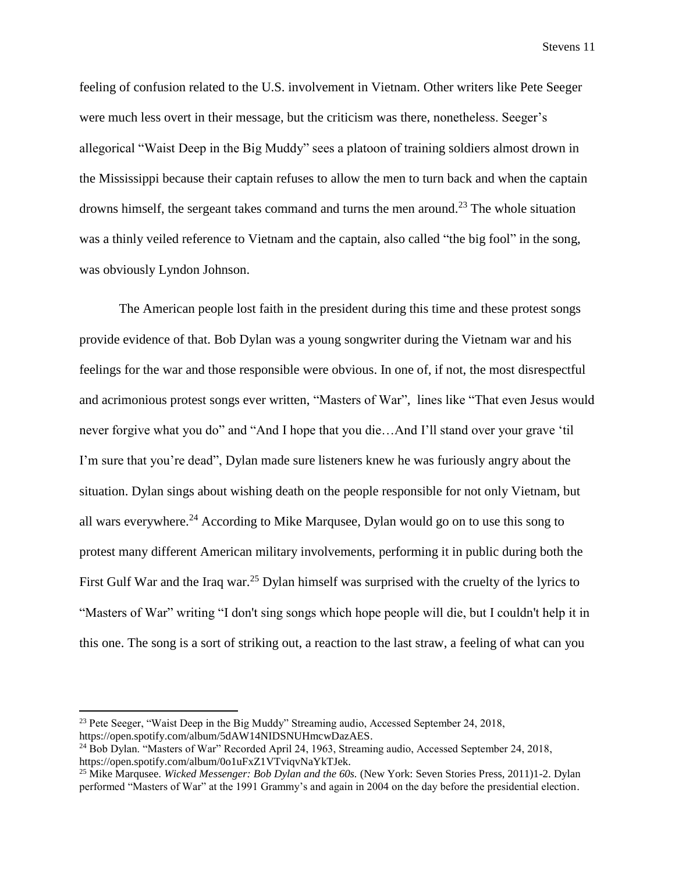feeling of confusion related to the U.S. involvement in Vietnam. Other writers like Pete Seeger were much less overt in their message, but the criticism was there, nonetheless. Seeger's allegorical "Waist Deep in the Big Muddy" sees a platoon of training soldiers almost drown in the Mississippi because their captain refuses to allow the men to turn back and when the captain drowns himself, the sergeant takes command and turns the men around.<sup>23</sup> The whole situation was a thinly veiled reference to Vietnam and the captain, also called "the big fool" in the song, was obviously Lyndon Johnson.

The American people lost faith in the president during this time and these protest songs provide evidence of that. Bob Dylan was a young songwriter during the Vietnam war and his feelings for the war and those responsible were obvious. In one of, if not, the most disrespectful and acrimonious protest songs ever written, "Masters of War", lines like "That even Jesus would never forgive what you do" and "And I hope that you die…And I'll stand over your grave 'til I'm sure that you're dead", Dylan made sure listeners knew he was furiously angry about the situation. Dylan sings about wishing death on the people responsible for not only Vietnam, but all wars everywhere. <sup>24</sup> According to Mike Marqusee, Dylan would go on to use this song to protest many different American military involvements, performing it in public during both the First Gulf War and the Iraq war.<sup>25</sup> Dylan himself was surprised with the cruelty of the lyrics to "Masters of War" writing "I don't sing songs which hope people will die, but I couldn't help it in this one. The song is a sort of striking out, a reaction to the last straw, a feeling of what can you

<sup>23</sup> Pete Seeger, "Waist Deep in the Big Muddy" Streaming audio, Accessed September 24, 2018, https://open.spotify.com/album/5dAW14NIDSNUHmcwDazAES.

<sup>24</sup> Bob Dylan. "Masters of War" Recorded April 24, 1963, Streaming audio, Accessed September 24, 2018, https://open.spotify.com/album/0o1uFxZ1VTviqvNaYkTJek.

<sup>25</sup> Mike Marqusee. *Wicked Messenger: Bob Dylan and the 60s.* (New York: Seven Stories Press, 2011)1-2. Dylan performed "Masters of War" at the 1991 Grammy's and again in 2004 on the day before the presidential election.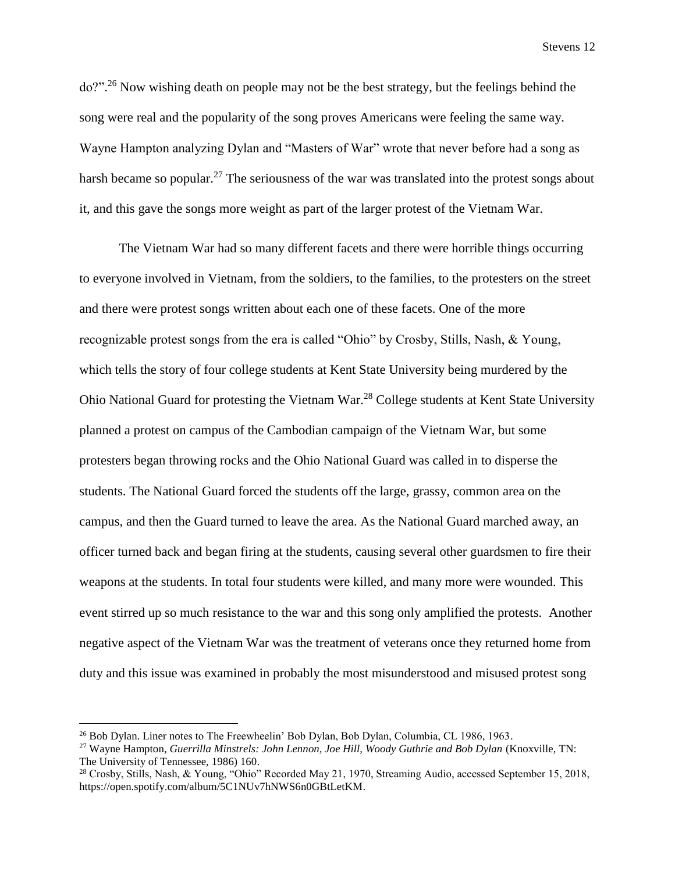do?".<sup>26</sup> Now wishing death on people may not be the best strategy, but the feelings behind the song were real and the popularity of the song proves Americans were feeling the same way. Wayne Hampton analyzing Dylan and "Masters of War" wrote that never before had a song as harsh became so popular.<sup>27</sup> The seriousness of the war was translated into the protest songs about it, and this gave the songs more weight as part of the larger protest of the Vietnam War.

The Vietnam War had so many different facets and there were horrible things occurring to everyone involved in Vietnam, from the soldiers, to the families, to the protesters on the street and there were protest songs written about each one of these facets. One of the more recognizable protest songs from the era is called "Ohio" by Crosby, Stills, Nash, & Young, which tells the story of four college students at Kent State University being murdered by the Ohio National Guard for protesting the Vietnam War.<sup>28</sup> College students at Kent State University planned a protest on campus of the Cambodian campaign of the Vietnam War, but some protesters began throwing rocks and the Ohio National Guard was called in to disperse the students. The National Guard forced the students off the large, grassy, common area on the campus, and then the Guard turned to leave the area. As the National Guard marched away, an officer turned back and began firing at the students, causing several other guardsmen to fire their weapons at the students. In total four students were killed, and many more were wounded. This event stirred up so much resistance to the war and this song only amplified the protests. Another negative aspect of the Vietnam War was the treatment of veterans once they returned home from duty and this issue was examined in probably the most misunderstood and misused protest song

l

<sup>&</sup>lt;sup>26</sup> Bob Dylan. Liner notes to The Freewheelin' Bob Dylan, Bob Dylan, Columbia, CL 1986, 1963.

<sup>27</sup> Wayne Hampton, *Guerrilla Minstrels: John Lennon, Joe Hill, Woody Guthrie and Bob Dylan* (Knoxville, TN: The University of Tennessee, 1986) 160.

<sup>&</sup>lt;sup>28</sup> Crosby, Stills, Nash, & Young, "Ohio" Recorded May 21, 1970, Streaming Audio, accessed September 15, 2018, https://open.spotify.com/album/5C1NUv7hNWS6n0GBtLetKM.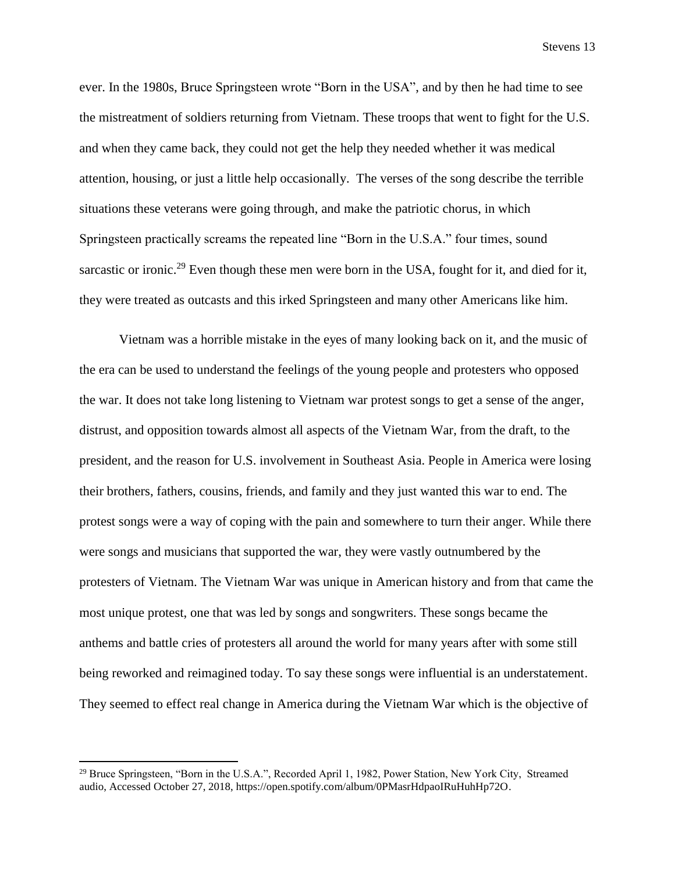ever. In the 1980s, Bruce Springsteen wrote "Born in the USA", and by then he had time to see the mistreatment of soldiers returning from Vietnam. These troops that went to fight for the U.S. and when they came back, they could not get the help they needed whether it was medical attention, housing, or just a little help occasionally. The verses of the song describe the terrible situations these veterans were going through, and make the patriotic chorus, in which Springsteen practically screams the repeated line "Born in the U.S.A." four times, sound sarcastic or ironic.<sup>29</sup> Even though these men were born in the USA, fought for it, and died for it, they were treated as outcasts and this irked Springsteen and many other Americans like him.

Vietnam was a horrible mistake in the eyes of many looking back on it, and the music of the era can be used to understand the feelings of the young people and protesters who opposed the war. It does not take long listening to Vietnam war protest songs to get a sense of the anger, distrust, and opposition towards almost all aspects of the Vietnam War, from the draft, to the president, and the reason for U.S. involvement in Southeast Asia. People in America were losing their brothers, fathers, cousins, friends, and family and they just wanted this war to end. The protest songs were a way of coping with the pain and somewhere to turn their anger. While there were songs and musicians that supported the war, they were vastly outnumbered by the protesters of Vietnam. The Vietnam War was unique in American history and from that came the most unique protest, one that was led by songs and songwriters. These songs became the anthems and battle cries of protesters all around the world for many years after with some still being reworked and reimagined today. To say these songs were influential is an understatement. They seemed to effect real change in America during the Vietnam War which is the objective of

<sup>&</sup>lt;sup>29</sup> Bruce Springsteen, "Born in the U.S.A.", Recorded April 1, 1982, Power Station, New York City, Streamed audio, Accessed October 27, 2018, https://open.spotify.com/album/0PMasrHdpaoIRuHuhHp72O.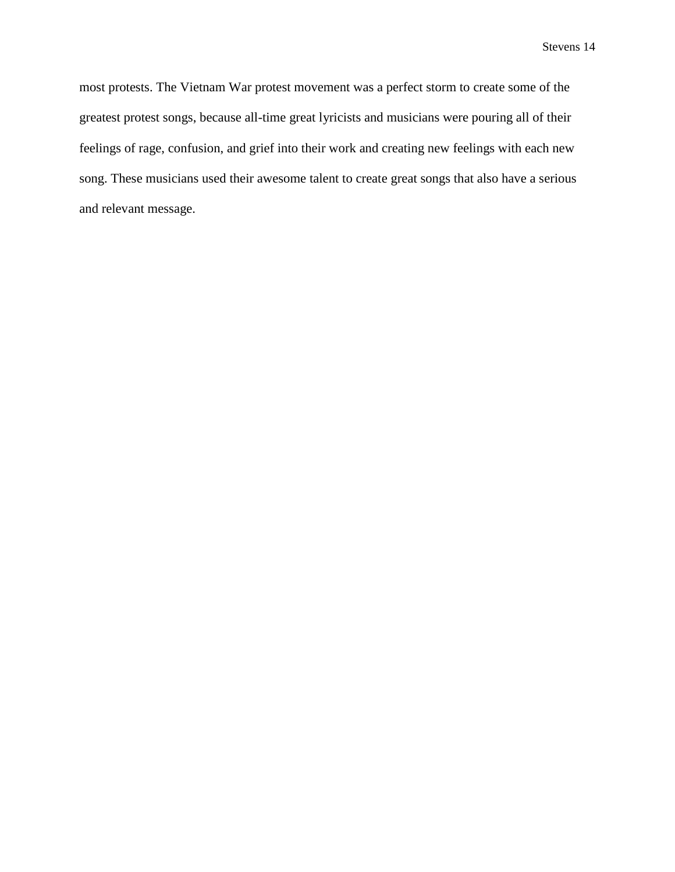most protests. The Vietnam War protest movement was a perfect storm to create some of the greatest protest songs, because all-time great lyricists and musicians were pouring all of their feelings of rage, confusion, and grief into their work and creating new feelings with each new song. These musicians used their awesome talent to create great songs that also have a serious and relevant message.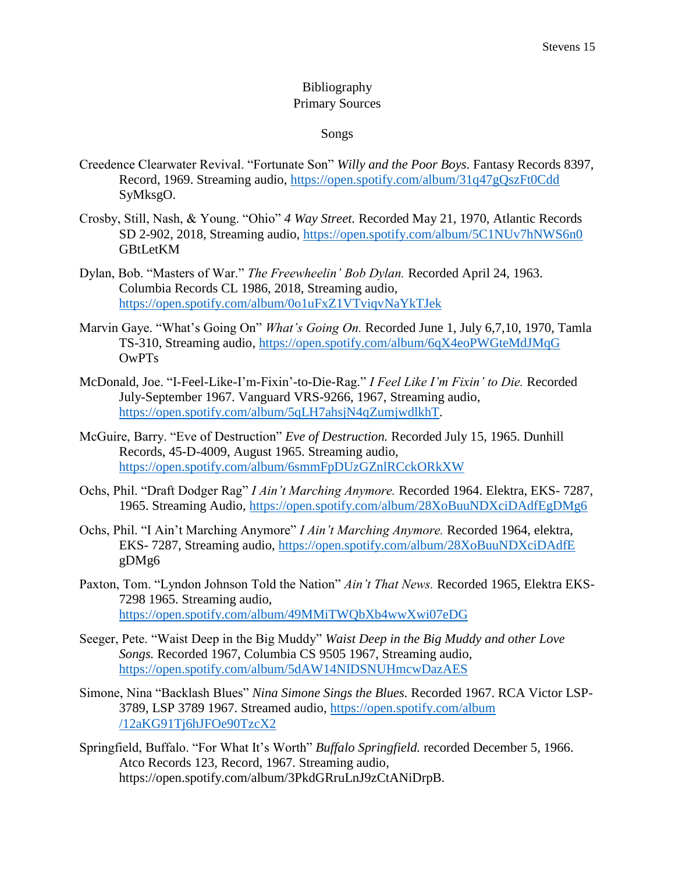### Bibliography Primary Sources

#### Songs

- Creedence Clearwater Revival. "Fortunate Son" *Willy and the Poor Boys*. Fantasy Records 8397, Record, 1969. Streaming audio,<https://open.spotify.com/album/31q47gQszFt0Cdd> SyMksgO.
- Crosby, Still, Nash, & Young. "Ohio" *4 Way Street.* Recorded May 21, 1970, Atlantic Records SD 2-902, 2018, Streaming audio,<https://open.spotify.com/album/5C1NUv7hNWS6n0> GBtLetKM
- Dylan, Bob. "Masters of War." *The Freewheelin' Bob Dylan.* Recorded April 24, 1963. Columbia Records CL 1986, 2018, Streaming audio, <https://open.spotify.com/album/0o1uFxZ1VTviqvNaYkTJek>
- Marvin Gaye. "What's Going On" *What's Going On.* Recorded June 1, July 6,7,10, 1970, Tamla TS-310, Streaming audio,<https://open.spotify.com/album/6qX4eoPWGteMdJMqG> OwPTs
- McDonald, Joe. "I-Feel-Like-I'm-Fixin'-to-Die-Rag." *I Feel Like I'm Fixin' to Die.* Recorded July-September 1967. Vanguard VRS-9266, 1967, Streaming audio, [https://open.spotify.com/album/5qLH7ahsjN4qZumjwdlkhT.](https://open.spotify.com/album/5qLH7ahsjN4qZumjwdlkhT)
- McGuire, Barry. "Eve of Destruction" *Eve of Destruction.* Recorded July 15, 1965. Dunhill Records, 45-D-4009, August 1965. Streaming audio, <https://open.spotify.com/album/6smmFpDUzGZnlRCckORkXW>
- Ochs, Phil. "Draft Dodger Rag" *I Ain't Marching Anymore.* Recorded 1964. Elektra, EKS- 7287, 1965. Streaming Audio,<https://open.spotify.com/album/28XoBuuNDXciDAdfEgDMg6>
- Ochs, Phil. "I Ain't Marching Anymore" *I Ain't Marching Anymore.* Recorded 1964, elektra, EKS- 7287, Streaming audio,<https://open.spotify.com/album/28XoBuuNDXciDAdfE> gDMg6
- Paxton, Tom. "Lyndon Johnson Told the Nation" *Ain't That News.* Recorded 1965, Elektra EKS-7298 1965. Streaming audio, <https://open.spotify.com/album/49MMiTWQbXb4wwXwi07eDG>
- Seeger, Pete. "Waist Deep in the Big Muddy" *Waist Deep in the Big Muddy and other Love Songs.* Recorded 1967, Columbia CS 9505 1967, Streaming audio, <https://open.spotify.com/album/5dAW14NIDSNUHmcwDazAES>
- Simone, Nina "Backlash Blues" *Nina Simone Sings the Blues.* Recorded 1967. RCA Victor LSP-3789, LSP 3789 1967. Streamed audio, [https://open.spotify.com/album](https://open.spotify.com/album%20/12aKG91Tj6hJFOe90TzcX2)  [/12aKG91Tj6hJFOe90TzcX2](https://open.spotify.com/album%20/12aKG91Tj6hJFOe90TzcX2)
- Springfield, Buffalo. "For What It's Worth" *Buffalo Springfield.* recorded December 5, 1966. Atco Records 123, Record, 1967. Streaming audio, https://open.spotify.com/album/3PkdGRruLnJ9zCtANiDrpB.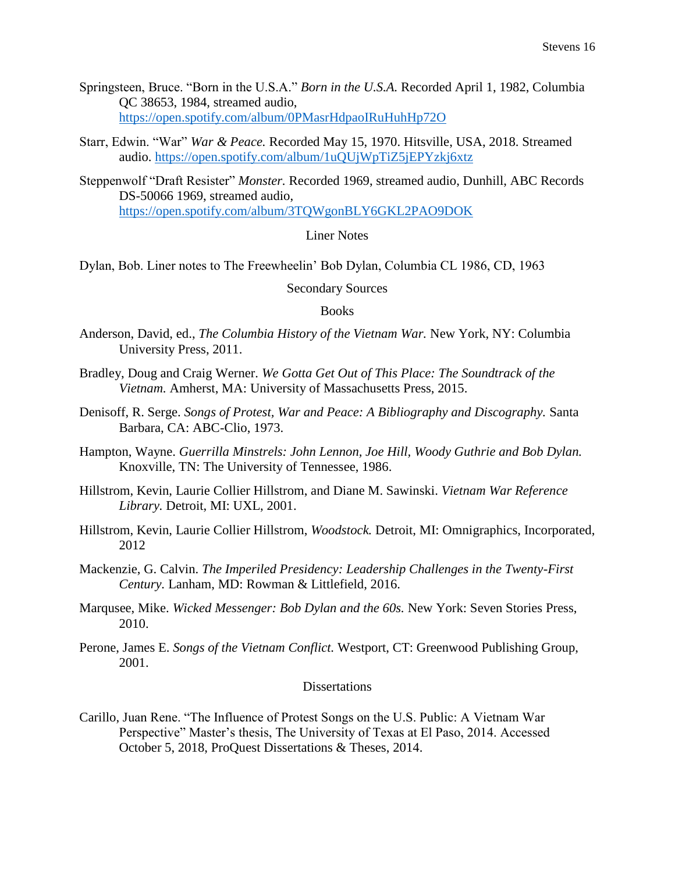- Springsteen, Bruce. "Born in the U.S.A." *Born in the U.S.A.* Recorded April 1, 1982, Columbia QC 38653, 1984, streamed audio, <https://open.spotify.com/album/0PMasrHdpaoIRuHuhHp72O>
- Starr, Edwin. "War" *War & Peace.* Recorded May 15, 1970. Hitsville, USA, 2018. Streamed audio.<https://open.spotify.com/album/1uQUjWpTiZ5jEPYzkj6xtz>
- Steppenwolf "Draft Resister" *Monster.* Recorded 1969, streamed audio, Dunhill, ABC Records DS-50066 1969, streamed audio, <https://open.spotify.com/album/3TQWgonBLY6GKL2PAO9DOK>

#### Liner Notes

Dylan, Bob. Liner notes to The Freewheelin' Bob Dylan, Columbia CL 1986, CD, 1963

Secondary Sources

#### **Books**

- Anderson, David, ed., *The Columbia History of the Vietnam War.* New York, NY: Columbia University Press, 2011.
- Bradley, Doug and Craig Werner. *We Gotta Get Out of This Place: The Soundtrack of the Vietnam.* Amherst, MA: University of Massachusetts Press, 2015.
- Denisoff, R. Serge. *Songs of Protest, War and Peace: A Bibliography and Discography.* Santa Barbara, CA: ABC-Clio, 1973.
- Hampton, Wayne. *Guerrilla Minstrels: John Lennon, Joe Hill, Woody Guthrie and Bob Dylan.* Knoxville, TN: The University of Tennessee, 1986.
- Hillstrom, Kevin, Laurie Collier Hillstrom, and Diane M. Sawinski. *Vietnam War Reference Library.* Detroit, MI: UXL, 2001.
- Hillstrom, Kevin, Laurie Collier Hillstrom, *Woodstock.* Detroit, MI: Omnigraphics, Incorporated, 2012
- Mackenzie, G. Calvin. *The Imperiled Presidency: Leadership Challenges in the Twenty-First Century.* Lanham, MD: Rowman & Littlefield, 2016.
- Marqusee, Mike. *Wicked Messenger: Bob Dylan and the 60s.* New York: Seven Stories Press, 2010.
- Perone, James E. *Songs of the Vietnam Conflict.* Westport, CT: Greenwood Publishing Group, 2001.

### **Dissertations**

Carillo, Juan Rene. "The Influence of Protest Songs on the U.S. Public: A Vietnam War Perspective" Master's thesis, The University of Texas at El Paso, 2014. Accessed October 5, 2018, ProQuest Dissertations & Theses, 2014.